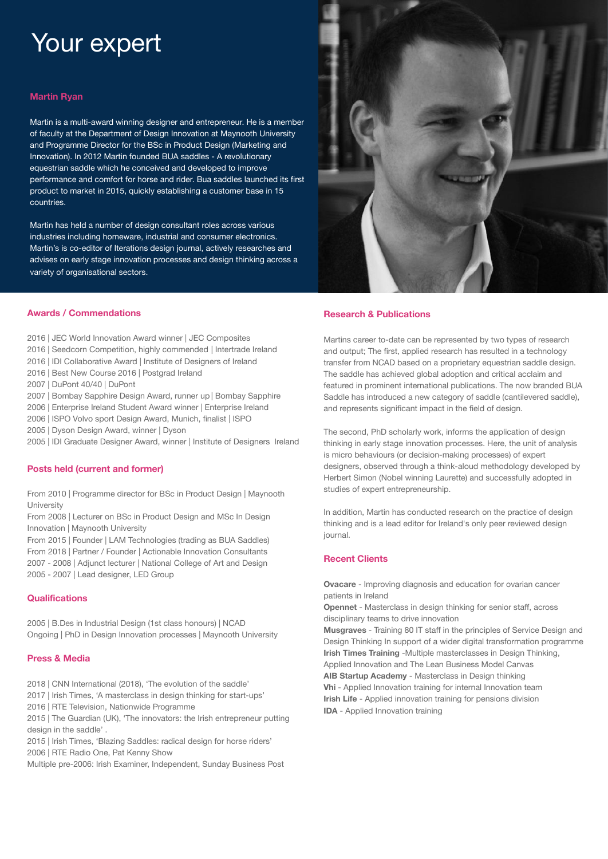# Your expert

### **Martin Ryan**

Martin is a multi-award winning designer and entrepreneur. He is a member of faculty at the Department of Design Innovation at Maynooth University and Programme Director for the BSc in Product Design (Marketing and Innovation). In 2012 Martin founded BUA saddles - A revolutionary equestrian saddle which he conceived and developed to improve performance and comfort for horse and rider. Bua saddles launched its first product to market in 2015, quickly establishing a customer base in 15 countries.

Martin has held a number of design consultant roles across various industries including homeware, industrial and consumer electronics. Martin's is co-editor of Iterations design journal, actively researches and advises on early stage innovation processes and design thinking across a variety of organisational sectors.



# **Research & Publications**

Martins career to-date can be represented by two types of research and output; The first, applied research has resulted in a technology transfer from NCAD based on a proprietary equestrian saddle design. The saddle has achieved global adoption and critical acclaim and featured in prominent international publications. The now branded BUA Saddle has introduced a new category of saddle (cantilevered saddle), and represents significant impact in the field of design.

The second, PhD scholarly work, informs the application of design thinking in early stage innovation processes. Here, the unit of analysis is micro behaviours (or decision-making processes) of expert designers, observed through a think-aloud methodology developed by Herbert Simon (Nobel winning Laurette) and successfully adopted in studies of expert entrepreneurship.

In addition, Martin has conducted research on the practice of design thinking and is a lead editor for Ireland's only peer reviewed design journal.

# **Recent Clients**

**Ovacare** - Improving diagnosis and education for ovarian cancer patients in Ireland

**Opennet** - Masterclass in design thinking for senior staff, across disciplinary teams to drive innovation

**Musgraves** - Training 80 IT staff in the principles of Service Design and Design Thinking In support of a wider digital transformation programme **Irish Times Training** -Multiple masterclasses in Design Thinking, Applied Innovation and The Lean Business Model Canvas

**AIB Startup Academy** - Masterclass in Design thinking **Vhi** - Applied Innovation training for internal Innovation team **Irish Life** - Applied innovation training for pensions division **IDA** - Applied Innovation training

### **Awards / Commendations**

- 2016 | JEC World Innovation Award winner | JEC Composites
- 2016 | Seedcorn Competition, highly commended | Intertrade Ireland
- 2016 | IDI Collaborative Award | Institute of Designers of Ireland
- 2016 | Best New Course 2016 | Postgrad Ireland
- 2007 | DuPont 40/40 | DuPont
- 2007 | Bombay Sapphire Design Award, runner up | Bombay Sapphire
- 2006 | Enterprise Ireland Student Award winner | Enterprise Ireland
- 2006 | ISPO Volvo sport Design Award, Munich, finalist | ISPO
- 2005 | Dyson Design Award, winner | Dyson
- 2005 | IDI Graduate Designer Award, winner | Institute of Designers Ireland

## **Posts held (current and former)**

From 2010 | Programme director for BSc in Product Design | Maynooth University

From 2008 | Lecturer on BSc in Product Design and MSc In Design Innovation | Maynooth University

From 2015 | Founder | LAM Technologies (trading as BUA Saddles)

From 2018 | Partner / Founder | Actionable Innovation Consultants 2007 - 2008 | Adjunct lecturer | National College of Art and Design 2005 - 2007 | Lead designer, LED Group

### **Qualifications**

2005 | B.Des in Industrial Design (1st class honours) | NCAD Ongoing | PhD in Design Innovation processes | Maynooth University

### **Press & Media**

- 2018 | CNN International (2018), 'The evolution of the saddle'
- 2017 | Irish Times, 'A masterclass in design thinking for start-ups'
- 2016 | RTE Television, Nationwide Programme

2015 | The Guardian (UK), 'The innovators: the Irish entrepreneur putting design in the saddle' .

2015 | Irish Times, 'Blazing Saddles: radical design for horse riders' 2006 | RTE Radio One, Pat Kenny Show

Multiple pre-2006: Irish Examiner, Independent, Sunday Business Post